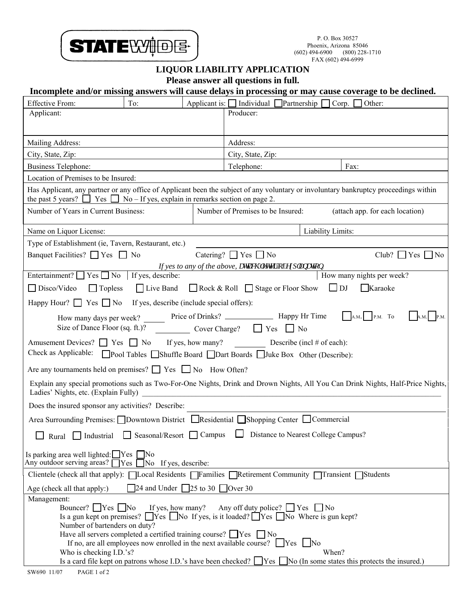

## **LIQUOR LIABILITY APPLICATION**

**Please answer all questions in full.** 

## **Incomplete and/or missing answers will cause delays in processing or may cause coverage to be declined.**

| <b>Effective From:</b>                                                                    | To:                                                                                               |  | Applicant is: $\Box$ Individual $\Box$ Partnership $\Box$ Corp. $\Box$ Other:                                                                                                 |                                                                                                                                          |  |
|-------------------------------------------------------------------------------------------|---------------------------------------------------------------------------------------------------|--|-------------------------------------------------------------------------------------------------------------------------------------------------------------------------------|------------------------------------------------------------------------------------------------------------------------------------------|--|
| Applicant:                                                                                |                                                                                                   |  | Producer:                                                                                                                                                                     |                                                                                                                                          |  |
| Mailing Address:                                                                          |                                                                                                   |  | Address:                                                                                                                                                                      |                                                                                                                                          |  |
| City, State, Zip:                                                                         |                                                                                                   |  | City, State, Zip:                                                                                                                                                             |                                                                                                                                          |  |
| <b>Business Telephone:</b>                                                                |                                                                                                   |  | Telephone:                                                                                                                                                                    | Fax:                                                                                                                                     |  |
| Location of Premises to be Insured:                                                       |                                                                                                   |  |                                                                                                                                                                               |                                                                                                                                          |  |
| the past 5 years? $\Box$ Yes $\Box$ No – If yes, explain in remarks section on page 2.    |                                                                                                   |  |                                                                                                                                                                               | Has Applicant, any partner or any office of Applicant been the subject of any voluntary or involuntary bankruptcy proceedings within     |  |
| Number of Years in Current Business:                                                      |                                                                                                   |  | Number of Premises to be Insured:                                                                                                                                             | (attach app. for each location)                                                                                                          |  |
| Name on Liquor License:                                                                   |                                                                                                   |  | Liability Limits:                                                                                                                                                             |                                                                                                                                          |  |
| Type of Establishment (ie, Tavern, Restaurant, etc.)                                      |                                                                                                   |  |                                                                                                                                                                               |                                                                                                                                          |  |
| Banquet Facilities? $\Box$ Yes $\Box$ No                                                  |                                                                                                   |  | Catering? $\Box$ Yes $\Box$ No                                                                                                                                                | $Club?$ Yes $No$                                                                                                                         |  |
|                                                                                           |                                                                                                   |  | If yes to any of the above, cwcej 'hgwgt'qh'gzrncpcwqp.                                                                                                                       | b.<br>How many nights per week?                                                                                                          |  |
| Entertainment? $\Box$ Yes $\Box$ No If yes, describe:                                     |                                                                                                   |  |                                                                                                                                                                               |                                                                                                                                          |  |
| $\Box$ Disco/Video<br>$\Box$ Topless                                                      |                                                                                                   |  | $\Box$ Live Band $\Box$ Rock & Roll $\Box$ Stage or Floor Show $\Box$ DJ                                                                                                      | $\Box$ Karaoke                                                                                                                           |  |
| Happy Hour? $\Box$ Yes $\Box$ No If yes, describe (include special offers):               |                                                                                                   |  |                                                                                                                                                                               |                                                                                                                                          |  |
|                                                                                           |                                                                                                   |  | Size of Dance Floor (sq. ft.)? Cover Charge? T Yes No                                                                                                                         |                                                                                                                                          |  |
| Are any tournaments held on premises? $\Box$ Yes $\Box$ No How Often?                     |                                                                                                   |  | Amusement Devices? $\Box$ Yes $\Box$ No If yes, how many? Describe (incl # of each):<br>Check as Applicable: Pool Tables Shuffle Board Dart Boards Juke Box Other (Describe): |                                                                                                                                          |  |
|                                                                                           |                                                                                                   |  |                                                                                                                                                                               | Explain any special promotions such as Two-For-One Nights, Drink and Drown Nights, All You Can Drink Nights, Half-Price Nights,          |  |
| Does the insured sponsor any activities? Describe:                                        |                                                                                                   |  |                                                                                                                                                                               |                                                                                                                                          |  |
|                                                                                           |                                                                                                   |  | Area Surrounding Premises: $\Box$ Downtown District $\Box$ Residential $\Box$ Shopping Center $\Box$ Commercial                                                               |                                                                                                                                          |  |
| $\Box$                                                                                    |                                                                                                   |  | Rural Industrial Seasonal/Resort Campus D Distance to Nearest College Campus?                                                                                                 |                                                                                                                                          |  |
| Is parking area well lighted: $\Box$ Yes $\Box$ No<br>Any outdoor serving areas? $\Gamma$ | $\exists$ Yes<br>No If yes, describe:                                                             |  |                                                                                                                                                                               |                                                                                                                                          |  |
|                                                                                           |                                                                                                   |  | Clientele (check all that apply): $\Box$ Local Residents $\Box$ Families $\Box$ Retirement Community $\Box$ Transient $\Box$ Students                                         |                                                                                                                                          |  |
| Age (check all that apply:)                                                               | 24 and Under 25 to 30 Over 30                                                                     |  |                                                                                                                                                                               |                                                                                                                                          |  |
| Management:<br>Bouncer? $Yes$ No<br>Number of bartenders on duty?                         | If yes, how many?<br>Have all servers completed a certified training course? $\Box$ Yes $\Box$ No |  | Any off duty police? $\Box$ Yes $\Box$ No<br>Is a gun kept on premises? $\Box$ Yes $\Box$ No If yes, is it loaded? $\Box$ Yes $\Box$ No Where is gun kept?                    |                                                                                                                                          |  |
| Who is checking I.D.'s?                                                                   |                                                                                                   |  | If no, are all employees now enrolled in the next available course? $\Box$ Yes $\Box$ No                                                                                      | When?<br>Is a card file kept on patrons whose I.D.'s have been checked? $\Box$ Yes $\Box$ No (In some states this protects the insured.) |  |